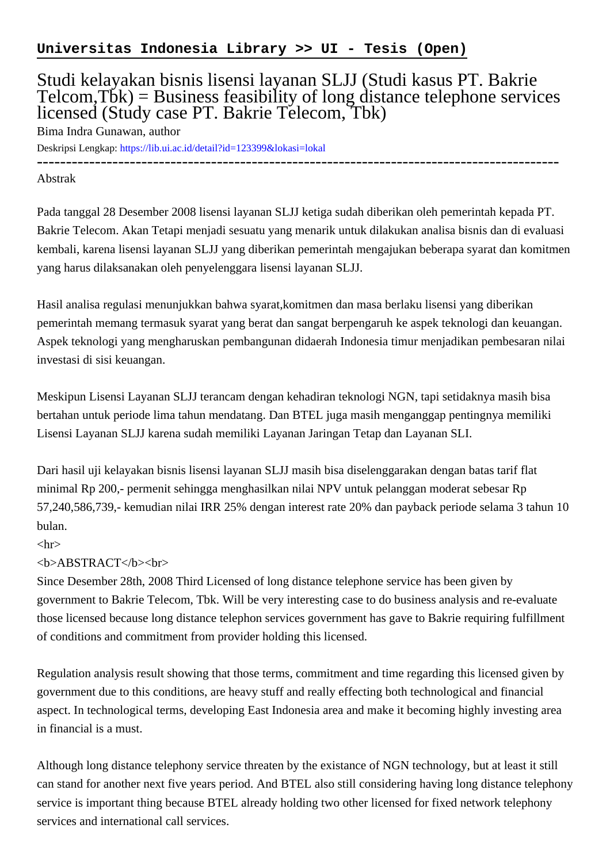## Studi kelayakan bisnis lisensi layanan SLJJ (Studi kasus PT. Bakrie  $Telcom, T\ddot{b}k$ ) = Business feasibility of long distance telephone services licensed (Study case PT. Bakrie Telecom, Tbk)

Bima Indra Gunawan, author

Deskripsi Lengkap:<https://lib.ui.ac.id/detail?id=123399&lokasi=lokal>

------------------------------------------------------------------------------------------

Abstrak

Pada tanggal 28 Desember 2008 lisensi layanan SLJJ ketiga sudah diberikan oleh pemerintah kepada PT. Bakrie Telecom. Akan Tetapi menjadi sesuatu yang menarik untuk dilakukan analisa bisnis dan di evaluasi kembali, karena lisensi layanan SLJJ yang diberikan pemerintah mengajukan beberapa syarat dan komitmen yang harus dilaksanakan oleh penyelenggara lisensi layanan SLJJ.

Hasil analisa regulasi menunjukkan bahwa syarat,komitmen dan masa berlaku lisensi yang diberikan pemerintah memang termasuk syarat yang berat dan sangat berpengaruh ke aspek teknologi dan keuangan. Aspek teknologi yang mengharuskan pembangunan didaerah Indonesia timur menjadikan pembesaran nilai investasi di sisi keuangan.

Meskipun Lisensi Layanan SLJJ terancam dengan kehadiran teknologi NGN, tapi setidaknya masih bisa bertahan untuk periode lima tahun mendatang. Dan BTEL juga masih menganggap pentingnya memiliki Lisensi Layanan SLJJ karena sudah memiliki Layanan Jaringan Tetap dan Layanan SLI.

Dari hasil uji kelayakan bisnis lisensi layanan SLJJ masih bisa diselenggarakan dengan batas tarif flat minimal Rp 200,- permenit sehingga menghasilkan nilai NPV untuk pelanggan moderat sebesar Rp 57,240,586,739,- kemudian nilai IRR 25% dengan interest rate 20% dan payback periode selama 3 tahun 10 bulan.

## $\langle$ hr $>$

## <b>ABSTRACT</b><br>

Since Desember 28th, 2008 Third Licensed of long distance telephone service has been given by government to Bakrie Telecom, Tbk. Will be very interesting case to do business analysis and re-evaluate those licensed because long distance telephon services government has gave to Bakrie requiring fulfillment of conditions and commitment from provider holding this licensed.

Regulation analysis result showing that those terms, commitment and time regarding this licensed given by government due to this conditions, are heavy stuff and really effecting both technological and financial aspect. In technological terms, developing East Indonesia area and make it becoming highly investing area in financial is a must.

Although long distance telephony service threaten by the existance of NGN technology, but at least it still can stand for another next five years period. And BTEL also still considering having long distance telephony service is important thing because BTEL already holding two other licensed for fixed network telephony services and international call services.